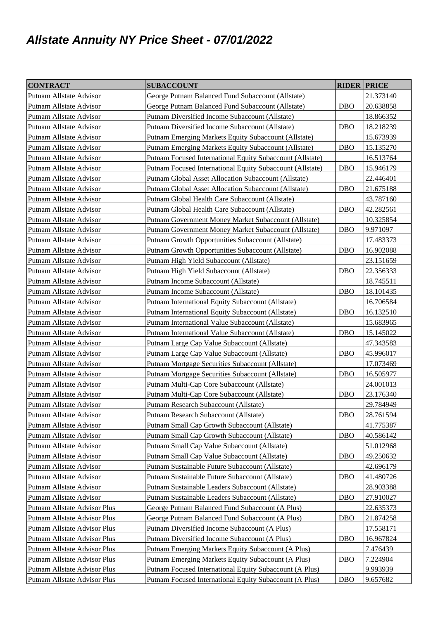## **Allstate Annuity NY Price Sheet - 07/01/2022**

| <b>CONTRACT</b>              | <b>SUBACCOUNT</b>                                         | <b>RIDER PRICE</b> |           |
|------------------------------|-----------------------------------------------------------|--------------------|-----------|
| Putnam Allstate Advisor      | George Putnam Balanced Fund Subaccount (Allstate)         |                    | 21.373140 |
| Putnam Allstate Advisor      | George Putnam Balanced Fund Subaccount (Allstate)         | <b>DBO</b>         | 20.638858 |
| Putnam Allstate Advisor      | Putnam Diversified Income Subaccount (Allstate)           |                    | 18.866352 |
| Putnam Allstate Advisor      | Putnam Diversified Income Subaccount (Allstate)           | <b>DBO</b>         | 18.218239 |
| Putnam Allstate Advisor      | Putnam Emerging Markets Equity Subaccount (Allstate)      |                    | 15.673939 |
| Putnam Allstate Advisor      | Putnam Emerging Markets Equity Subaccount (Allstate)      | <b>DBO</b>         | 15.135270 |
| Putnam Allstate Advisor      | Putnam Focused International Equity Subaccount (Allstate) |                    | 16.513764 |
| Putnam Allstate Advisor      | Putnam Focused International Equity Subaccount (Allstate) | <b>DBO</b>         | 15.946179 |
| Putnam Allstate Advisor      | Putnam Global Asset Allocation Subaccount (Allstate)      |                    | 22.446401 |
| Putnam Allstate Advisor      | Putnam Global Asset Allocation Subaccount (Allstate)      | <b>DBO</b>         | 21.675188 |
| Putnam Allstate Advisor      | Putnam Global Health Care Subaccount (Allstate)           |                    | 43.787160 |
| Putnam Allstate Advisor      | Putnam Global Health Care Subaccount (Allstate)           | <b>DBO</b>         | 42.282561 |
| Putnam Allstate Advisor      | Putnam Government Money Market Subaccount (Allstate)      |                    | 10.325854 |
| Putnam Allstate Advisor      | Putnam Government Money Market Subaccount (Allstate)      | <b>DBO</b>         | 9.971097  |
| Putnam Allstate Advisor      | Putnam Growth Opportunities Subaccount (Allstate)         |                    | 17.483373 |
| Putnam Allstate Advisor      | Putnam Growth Opportunities Subaccount (Allstate)         | <b>DBO</b>         | 16.902088 |
| Putnam Allstate Advisor      | Putnam High Yield Subaccount (Allstate)                   |                    | 23.151659 |
| Putnam Allstate Advisor      | Putnam High Yield Subaccount (Allstate)                   | <b>DBO</b>         | 22.356333 |
| Putnam Allstate Advisor      | Putnam Income Subaccount (Allstate)                       |                    | 18.745511 |
| Putnam Allstate Advisor      | Putnam Income Subaccount (Allstate)                       | DBO                | 18.101435 |
| Putnam Allstate Advisor      | Putnam International Equity Subaccount (Allstate)         |                    | 16.706584 |
| Putnam Allstate Advisor      | Putnam International Equity Subaccount (Allstate)         | <b>DBO</b>         | 16.132510 |
| Putnam Allstate Advisor      | Putnam International Value Subaccount (Allstate)          |                    | 15.683965 |
| Putnam Allstate Advisor      | Putnam International Value Subaccount (Allstate)          | <b>DBO</b>         | 15.145022 |
| Putnam Allstate Advisor      | Putnam Large Cap Value Subaccount (Allstate)              |                    | 47.343583 |
| Putnam Allstate Advisor      | Putnam Large Cap Value Subaccount (Allstate)              | <b>DBO</b>         | 45.996017 |
| Putnam Allstate Advisor      | Putnam Mortgage Securities Subaccount (Allstate)          |                    | 17.073469 |
| Putnam Allstate Advisor      | Putnam Mortgage Securities Subaccount (Allstate)          | <b>DBO</b>         | 16.505977 |
| Putnam Allstate Advisor      | Putnam Multi-Cap Core Subaccount (Allstate)               |                    | 24.001013 |
| Putnam Allstate Advisor      | Putnam Multi-Cap Core Subaccount (Allstate)               | <b>DBO</b>         | 23.176340 |
| Putnam Allstate Advisor      | Putnam Research Subaccount (Allstate)                     |                    | 29.784949 |
| Putnam Allstate Advisor      | Putnam Research Subaccount (Allstate)                     | <b>DBO</b>         | 28.761594 |
| Putnam Allstate Advisor      | Putnam Small Cap Growth Subaccount (Allstate)             |                    | 41.775387 |
| Putnam Allstate Advisor      | Putnam Small Cap Growth Subaccount (Allstate)             | <b>DBO</b>         | 40.586142 |
| Putnam Allstate Advisor      | Putnam Small Cap Value Subaccount (Allstate)              |                    | 51.012968 |
| Putnam Allstate Advisor      | Putnam Small Cap Value Subaccount (Allstate)              | <b>DBO</b>         | 49.250632 |
| Putnam Allstate Advisor      | Putnam Sustainable Future Subaccount (Allstate)           |                    | 42.696179 |
| Putnam Allstate Advisor      | Putnam Sustainable Future Subaccount (Allstate)           | <b>DBO</b>         | 41.480726 |
| Putnam Allstate Advisor      | Putnam Sustainable Leaders Subaccount (Allstate)          |                    | 28.903388 |
| Putnam Allstate Advisor      | Putnam Sustainable Leaders Subaccount (Allstate)          | <b>DBO</b>         | 27.910027 |
| Putnam Allstate Advisor Plus | George Putnam Balanced Fund Subaccount (A Plus)           |                    | 22.635373 |
| Putnam Allstate Advisor Plus | George Putnam Balanced Fund Subaccount (A Plus)           | <b>DBO</b>         | 21.874258 |
| Putnam Allstate Advisor Plus | Putnam Diversified Income Subaccount (A Plus)             |                    | 17.558171 |
| Putnam Allstate Advisor Plus | Putnam Diversified Income Subaccount (A Plus)             | <b>DBO</b>         | 16.967824 |
| Putnam Allstate Advisor Plus | Putnam Emerging Markets Equity Subaccount (A Plus)        |                    | 7.476439  |
| Putnam Allstate Advisor Plus | Putnam Emerging Markets Equity Subaccount (A Plus)        | <b>DBO</b>         | 7.224904  |
| Putnam Allstate Advisor Plus | Putnam Focused International Equity Subaccount (A Plus)   |                    | 9.993939  |
| Putnam Allstate Advisor Plus | Putnam Focused International Equity Subaccount (A Plus)   | <b>DBO</b>         | 9.657682  |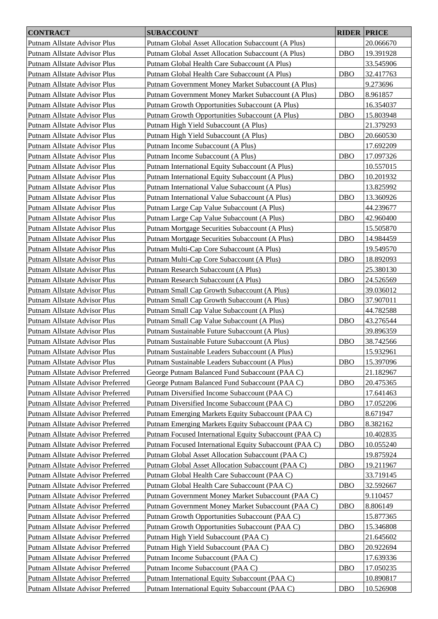| <b>CONTRACT</b>                   | <b>SUBACCOUNT</b>                                      | <b>RIDER PRICE</b> |           |
|-----------------------------------|--------------------------------------------------------|--------------------|-----------|
| Putnam Allstate Advisor Plus      | Putnam Global Asset Allocation Subaccount (A Plus)     |                    | 20.066670 |
| Putnam Allstate Advisor Plus      | Putnam Global Asset Allocation Subaccount (A Plus)     | <b>DBO</b>         | 19.391928 |
| Putnam Allstate Advisor Plus      | Putnam Global Health Care Subaccount (A Plus)          |                    | 33.545906 |
| Putnam Allstate Advisor Plus      | Putnam Global Health Care Subaccount (A Plus)          | <b>DBO</b>         | 32.417763 |
| Putnam Allstate Advisor Plus      | Putnam Government Money Market Subaccount (A Plus)     |                    | 9.273696  |
| Putnam Allstate Advisor Plus      | Putnam Government Money Market Subaccount (A Plus)     | <b>DBO</b>         | 8.961857  |
| Putnam Allstate Advisor Plus      | Putnam Growth Opportunities Subaccount (A Plus)        |                    | 16.354037 |
| Putnam Allstate Advisor Plus      | Putnam Growth Opportunities Subaccount (A Plus)        | <b>DBO</b>         | 15.803948 |
| Putnam Allstate Advisor Plus      | Putnam High Yield Subaccount (A Plus)                  |                    | 21.379293 |
| Putnam Allstate Advisor Plus      | Putnam High Yield Subaccount (A Plus)                  | <b>DBO</b>         | 20.660530 |
| Putnam Allstate Advisor Plus      | Putnam Income Subaccount (A Plus)                      |                    | 17.692209 |
|                                   |                                                        | <b>DBO</b>         |           |
| Putnam Allstate Advisor Plus      | Putnam Income Subaccount (A Plus)                      |                    | 17.097326 |
| Putnam Allstate Advisor Plus      | Putnam International Equity Subaccount (A Plus)        |                    | 10.557015 |
| Putnam Allstate Advisor Plus      | Putnam International Equity Subaccount (A Plus)        | <b>DBO</b>         | 10.201932 |
| Putnam Allstate Advisor Plus      | Putnam International Value Subaccount (A Plus)         |                    | 13.825992 |
| Putnam Allstate Advisor Plus      | Putnam International Value Subaccount (A Plus)         | <b>DBO</b>         | 13.360926 |
| Putnam Allstate Advisor Plus      | Putnam Large Cap Value Subaccount (A Plus)             |                    | 44.239677 |
| Putnam Allstate Advisor Plus      | Putnam Large Cap Value Subaccount (A Plus)             | <b>DBO</b>         | 42.960400 |
| Putnam Allstate Advisor Plus      | Putnam Mortgage Securities Subaccount (A Plus)         |                    | 15.505870 |
| Putnam Allstate Advisor Plus      | Putnam Mortgage Securities Subaccount (A Plus)         | <b>DBO</b>         | 14.984459 |
| Putnam Allstate Advisor Plus      | Putnam Multi-Cap Core Subaccount (A Plus)              |                    | 19.549570 |
| Putnam Allstate Advisor Plus      | Putnam Multi-Cap Core Subaccount (A Plus)              | <b>DBO</b>         | 18.892093 |
| Putnam Allstate Advisor Plus      | Putnam Research Subaccount (A Plus)                    |                    | 25.380130 |
| Putnam Allstate Advisor Plus      | Putnam Research Subaccount (A Plus)                    | <b>DBO</b>         | 24.526569 |
| Putnam Allstate Advisor Plus      | Putnam Small Cap Growth Subaccount (A Plus)            |                    | 39.036012 |
| Putnam Allstate Advisor Plus      | Putnam Small Cap Growth Subaccount (A Plus)            | <b>DBO</b>         | 37.907011 |
| Putnam Allstate Advisor Plus      | Putnam Small Cap Value Subaccount (A Plus)             |                    | 44.782588 |
| Putnam Allstate Advisor Plus      | Putnam Small Cap Value Subaccount (A Plus)             | <b>DBO</b>         | 43.276544 |
| Putnam Allstate Advisor Plus      | Putnam Sustainable Future Subaccount (A Plus)          |                    | 39.896359 |
| Putnam Allstate Advisor Plus      | Putnam Sustainable Future Subaccount (A Plus)          | <b>DBO</b>         | 38.742566 |
| Putnam Allstate Advisor Plus      | Putnam Sustainable Leaders Subaccount (A Plus)         |                    | 15.932961 |
| Putnam Allstate Advisor Plus      | Putnam Sustainable Leaders Subaccount (A Plus)         | <b>DBO</b>         | 15.397096 |
| Putnam Allstate Advisor Preferred | George Putnam Balanced Fund Subaccount (PAA C)         |                    | 21.182967 |
| Putnam Allstate Advisor Preferred | George Putnam Balanced Fund Subaccount (PAA C)         | <b>DBO</b>         | 20.475365 |
| Putnam Allstate Advisor Preferred | Putnam Diversified Income Subaccount (PAA C)           |                    | 17.641463 |
| Putnam Allstate Advisor Preferred | Putnam Diversified Income Subaccount (PAA C)           | <b>DBO</b>         | 17.052206 |
| Putnam Allstate Advisor Preferred | Putnam Emerging Markets Equity Subaccount (PAA C)      |                    | 8.671947  |
| Putnam Allstate Advisor Preferred | Putnam Emerging Markets Equity Subaccount (PAA C)      | <b>DBO</b>         | 8.382162  |
| Putnam Allstate Advisor Preferred | Putnam Focused International Equity Subaccount (PAA C) |                    | 10.402835 |
| Putnam Allstate Advisor Preferred | Putnam Focused International Equity Subaccount (PAA C) | <b>DBO</b>         | 10.055240 |
| Putnam Allstate Advisor Preferred | Putnam Global Asset Allocation Subaccount (PAA C)      |                    | 19.875924 |
| Putnam Allstate Advisor Preferred | Putnam Global Asset Allocation Subaccount (PAA C)      | <b>DBO</b>         | 19.211967 |
| Putnam Allstate Advisor Preferred | Putnam Global Health Care Subaccount (PAA C)           |                    | 33.719145 |
| Putnam Allstate Advisor Preferred | Putnam Global Health Care Subaccount (PAA C)           | <b>DBO</b>         | 32.592667 |
| Putnam Allstate Advisor Preferred | Putnam Government Money Market Subaccount (PAA C)      |                    | 9.110457  |
| Putnam Allstate Advisor Preferred | Putnam Government Money Market Subaccount (PAA C)      | <b>DBO</b>         | 8.806149  |
| Putnam Allstate Advisor Preferred | Putnam Growth Opportunities Subaccount (PAA C)         |                    | 15.877365 |
| Putnam Allstate Advisor Preferred | Putnam Growth Opportunities Subaccount (PAA C)         | <b>DBO</b>         | 15.346808 |
| Putnam Allstate Advisor Preferred | Putnam High Yield Subaccount (PAA C)                   |                    | 21.645602 |
| Putnam Allstate Advisor Preferred | Putnam High Yield Subaccount (PAA C)                   | <b>DBO</b>         | 20.922694 |
|                                   |                                                        |                    |           |
| Putnam Allstate Advisor Preferred | Putnam Income Subaccount (PAA C)                       |                    | 17.639336 |
| Putnam Allstate Advisor Preferred | Putnam Income Subaccount (PAA C)                       | <b>DBO</b>         | 17.050235 |
| Putnam Allstate Advisor Preferred | Putnam International Equity Subaccount (PAA C)         |                    | 10.890817 |
| Putnam Allstate Advisor Preferred | Putnam International Equity Subaccount (PAA C)         | <b>DBO</b>         | 10.526908 |